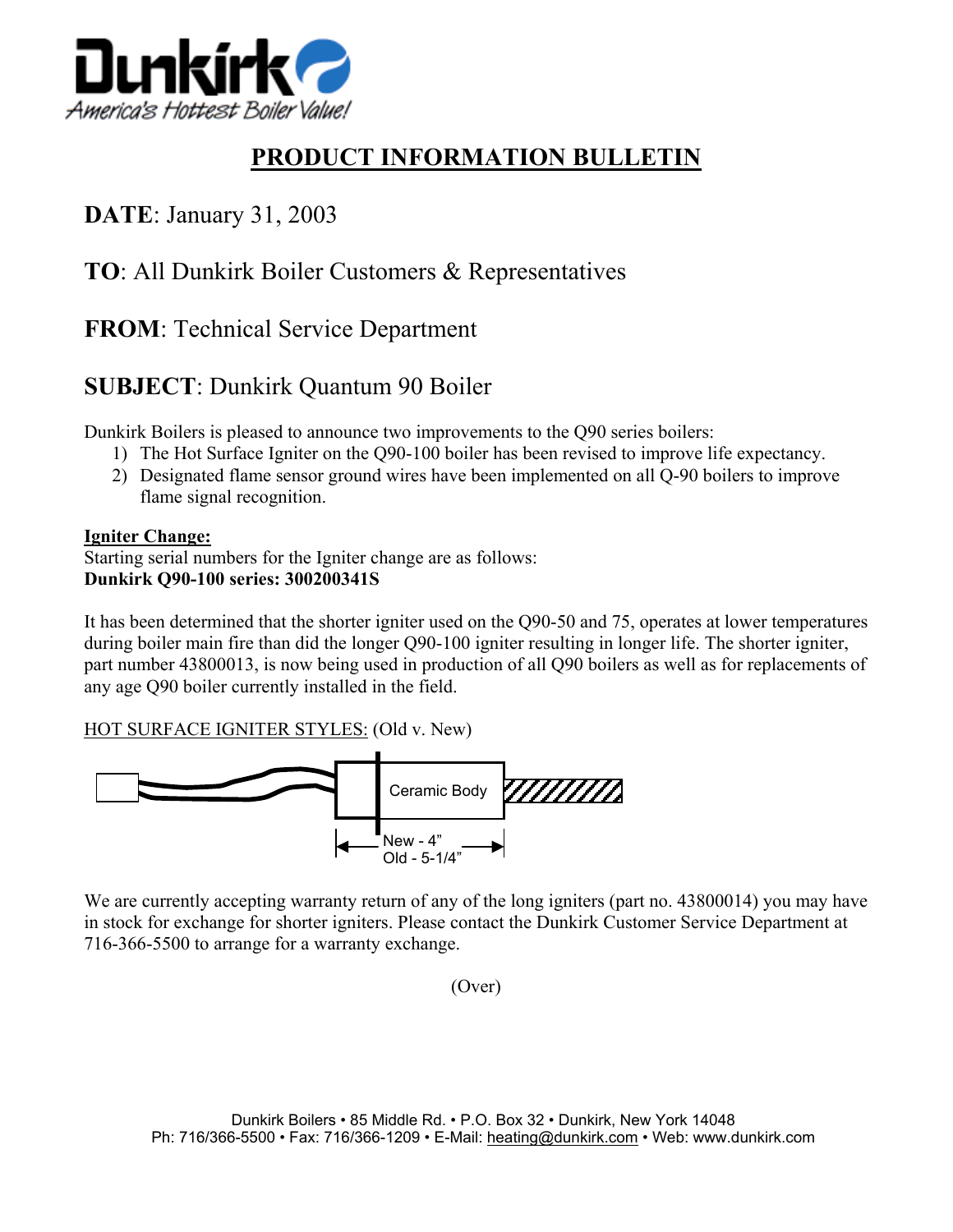![](_page_0_Picture_0.jpeg)

# **PRODUCT INFORMATION BULLETIN**

## **DATE**: January 31, 2003

#### **TO**: All Dunkirk Boiler Customers & Representatives

### **FROM**: Technical Service Department

## **SUBJECT**: Dunkirk Quantum 90 Boiler

Dunkirk Boilers is pleased to announce two improvements to the Q90 series boilers:

- 1) The Hot Surface Igniter on the Q90-100 boiler has been revised to improve life expectancy.
- 2) Designated flame sensor ground wires have been implemented on all Q-90 boilers to improve flame signal recognition.

#### **Igniter Change:**

Starting serial numbers for the Igniter change are as follows: **Dunkirk Q90-100 series: 300200341S** 

It has been determined that the shorter igniter used on the Q90-50 and 75, operates at lower temperatures during boiler main fire than did the longer Q90-100 igniter resulting in longer life. The shorter igniter, part number 43800013, is now being used in production of all Q90 boilers as well as for replacements of any age Q90 boiler currently installed in the field.

HOT SURFACE IGNITER STYLES: (Old v. New)

![](_page_0_Figure_13.jpeg)

We are currently accepting warranty return of any of the long igniters (part no. 43800014) you may have in stock for exchange for shorter igniters. Please contact the Dunkirk Customer Service Department at 716-366-5500 to arrange for a warranty exchange.

(Over)